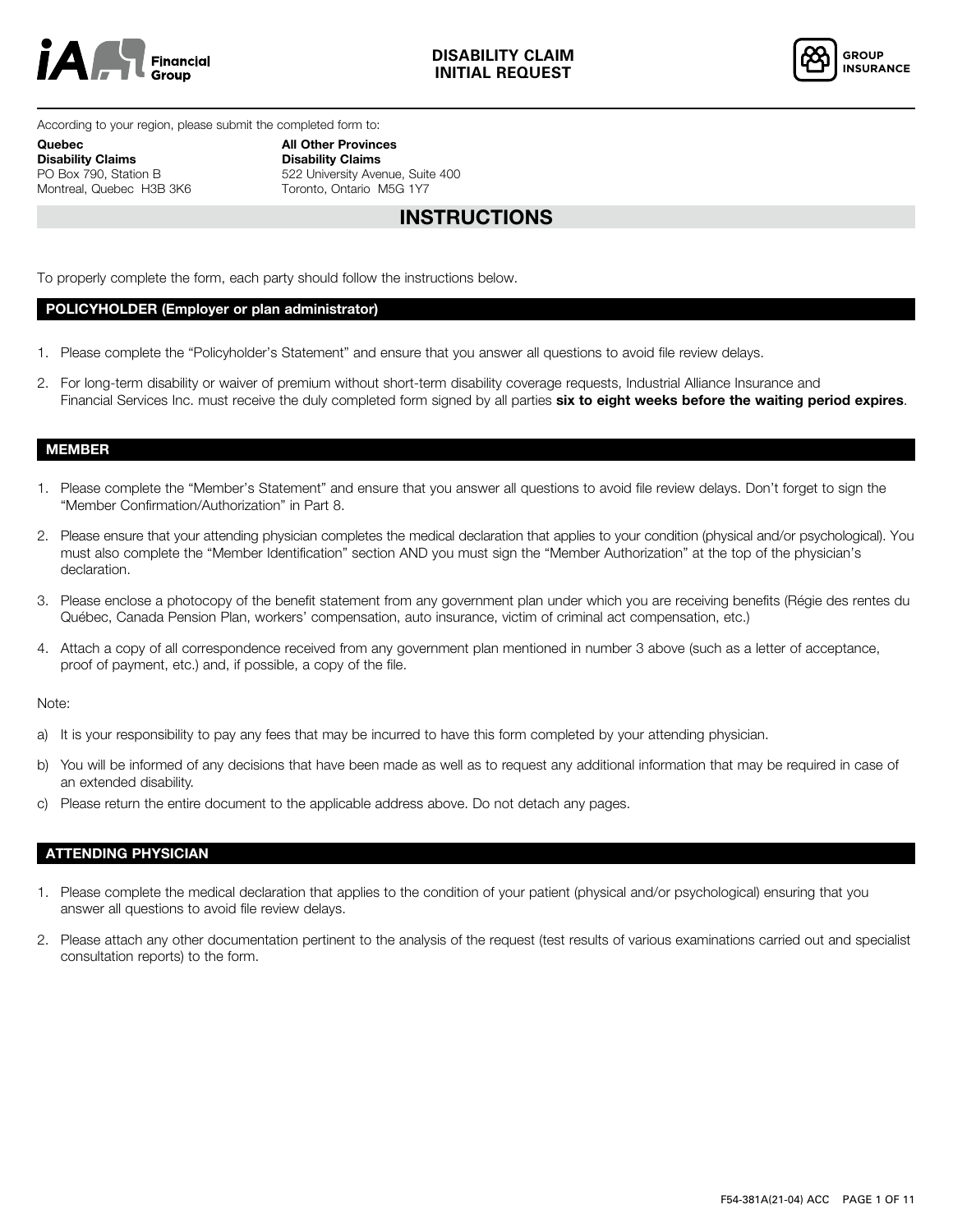



According to your region, please submit the completed form to:

Quebec Disability Claims PO Box 790, Station B Montreal, Quebec H3B 3K6 All Other Provinces Disability Claims 522 University Avenue, Suite 400 Toronto, Ontario M5G 1Y7

# INSTRUCTIONS

To properly complete the form, each party should follow the instructions below.

### POLICYHOLDER (Employer or plan administrator)

- 1. Please complete the "Policyholder's Statement" and ensure that you answer all questions to avoid file review delays.
- 2. For long-term disability or waiver of premium without short-term disability coverage requests, Industrial Alliance Insurance and Financial Services Inc. must receive the duly completed form signed by all parties six to eight weeks before the waiting period expires.

## MEMBER

- 1. Please complete the "Member's Statement" and ensure that you answer all questions to avoid file review delays. Don't forget to sign the "Member Confirmation/Authorization" in Part 8.
- 2. Please ensure that your attending physician completes the medical declaration that applies to your condition (physical and/or psychological). You must also complete the "Member Identification" section AND you must sign the "Member Authorization" at the top of the physician's declaration.
- 3. Please enclose a photocopy of the benefit statement from any government plan under which you are receiving benefits (Régie des rentes du Québec, Canada Pension Plan, workers' compensation, auto insurance, victim of criminal act compensation, etc.)
- 4. Attach a copy of all correspondence received from any government plan mentioned in number 3 above (such as a letter of acceptance, proof of payment, etc.) and, if possible, a copy of the file.

#### Note:

- a) It is your responsibility to pay any fees that may be incurred to have this form completed by your attending physician.
- b) You will be informed of any decisions that have been made as well as to request any additional information that may be required in case of an extended disability.
- c) Please return the entire document to the applicable address above. Do not detach any pages.

## ATTENDING PHYSICIAN

- 1. Please complete the medical declaration that applies to the condition of your patient (physical and/or psychological) ensuring that you answer all questions to avoid file review delays.
- 2. Please attach any other documentation pertinent to the analysis of the request (test results of various examinations carried out and specialist consultation reports) to the form.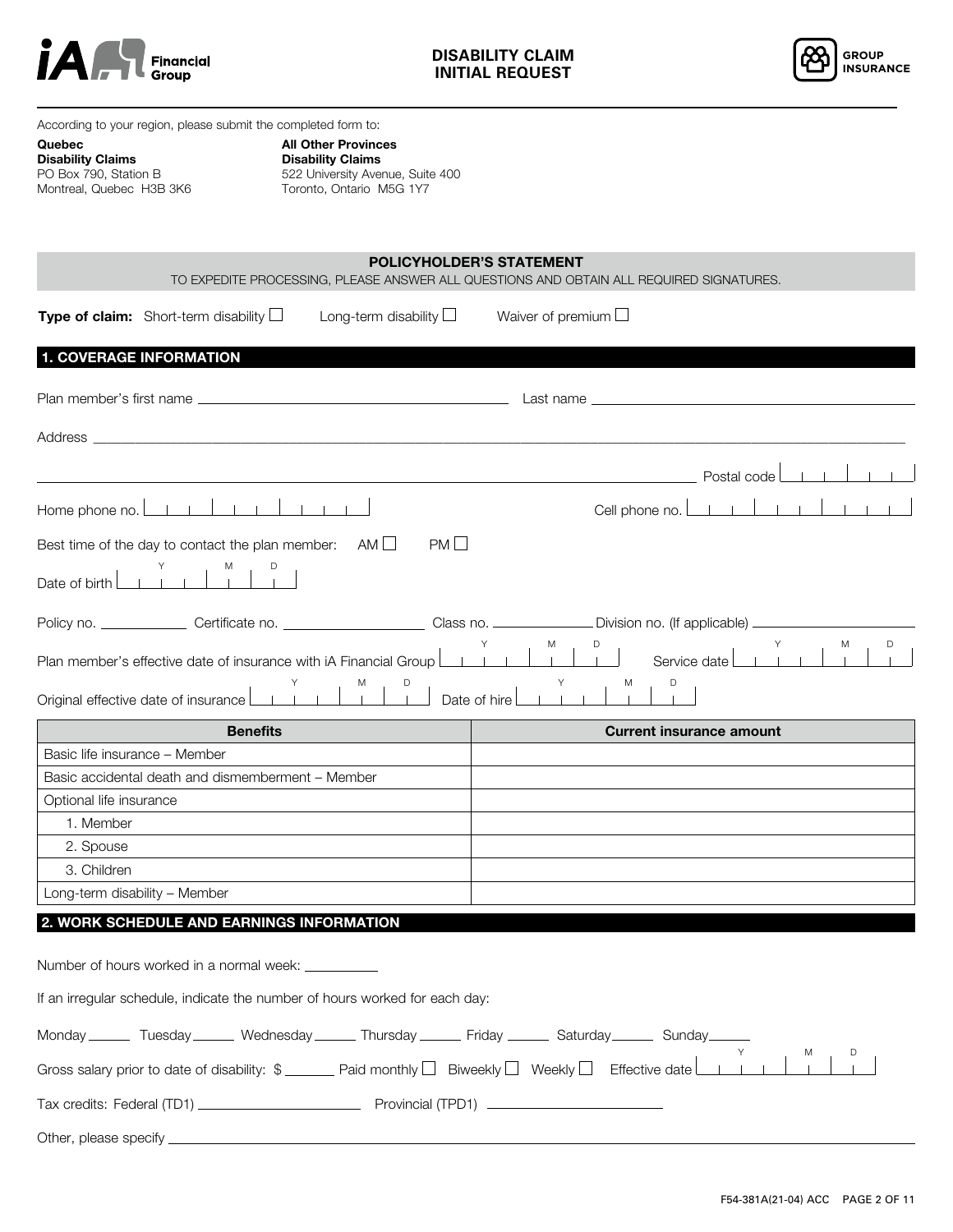



According to your region, please submit the completed form to:

#### Quebec Disability Claims

PO Box 790, Station B Montreal, Quebec H3B 3K6

All Other Provinces Disability Claims 522 University Avenue, Suite 400 Toronto, Ontario M5G 1Y7

|                               |                                                                                                                                                                                                                                                                                                                                                                                                                                                |                                              | <b>POLICYHOLDER'S STATEMENT</b> | TO EXPEDITE PROCESSING, PLEASE ANSWER ALL QUESTIONS AND OBTAIN ALL REQUIRED SIGNATURES. |
|-------------------------------|------------------------------------------------------------------------------------------------------------------------------------------------------------------------------------------------------------------------------------------------------------------------------------------------------------------------------------------------------------------------------------------------------------------------------------------------|----------------------------------------------|---------------------------------|-----------------------------------------------------------------------------------------|
|                               | <b>Type of claim:</b> Short-term disability $\Box$                                                                                                                                                                                                                                                                                                                                                                                             | Long-term disability $\Box$                  | Waiver of premium $\Box$        |                                                                                         |
|                               | <b>1. COVERAGE INFORMATION</b>                                                                                                                                                                                                                                                                                                                                                                                                                 |                                              |                                 |                                                                                         |
|                               |                                                                                                                                                                                                                                                                                                                                                                                                                                                |                                              |                                 |                                                                                         |
|                               |                                                                                                                                                                                                                                                                                                                                                                                                                                                |                                              |                                 |                                                                                         |
|                               |                                                                                                                                                                                                                                                                                                                                                                                                                                                |                                              |                                 | Postal code                                                                             |
|                               | Home phone no. $\boxed{\phantom{a}\phantom{a}}$ $\boxed{\phantom{a}}$ $\boxed{\phantom{a}}$ $\boxed{\phantom{a}}$ $\boxed{\phantom{a}}$ $\boxed{\phantom{a}}$ $\boxed{\phantom{a}}$ $\boxed{\phantom{a}}$ $\boxed{\phantom{a}}$ $\boxed{\phantom{a}}$ $\boxed{\phantom{a}}$ $\boxed{\phantom{a}}$ $\boxed{\phantom{a}}$ $\boxed{\phantom{a}}$ $\boxed{\phantom{a}}$ $\boxed{\phantom{a}}$ $\boxed{\phantom{a}}$ $\boxed{\phantom{a}}$ $\boxed$ |                                              |                                 | Cell phone no. L                                                                        |
|                               | Best time of the day to contact the plan member: AM $\Box$                                                                                                                                                                                                                                                                                                                                                                                     | PML                                          |                                 |                                                                                         |
| Date of birth [               | $\begin{array}{c c} & \mathsf{Y} \\ \hline & \mathsf{I} & \mathsf{I} \end{array}$                                                                                                                                                                                                                                                                                                                                                              |                                              |                                 |                                                                                         |
|                               |                                                                                                                                                                                                                                                                                                                                                                                                                                                |                                              |                                 |                                                                                         |
|                               | Plan member's effective date of insurance with iA Financial Group<br>Original effective date of insurance L                                                                                                                                                                                                                                                                                                                                    | $\sim$ 1 $\sim$ 1 $\sim$ 1 $\sim$ 1 $\sim$ 1 | M<br>$\Box$<br>Date of hire L   | D<br>D<br>M<br>Service date l<br>M                                                      |
|                               | <b>Benefits</b>                                                                                                                                                                                                                                                                                                                                                                                                                                |                                              |                                 | <b>Current insurance amount</b>                                                         |
| Basic life insurance - Member |                                                                                                                                                                                                                                                                                                                                                                                                                                                |                                              |                                 |                                                                                         |
|                               | Basic accidental death and dismemberment - Member                                                                                                                                                                                                                                                                                                                                                                                              |                                              |                                 |                                                                                         |
| Optional life insurance       |                                                                                                                                                                                                                                                                                                                                                                                                                                                |                                              |                                 |                                                                                         |
| 1. Member                     |                                                                                                                                                                                                                                                                                                                                                                                                                                                |                                              |                                 |                                                                                         |
| 2. Spouse                     |                                                                                                                                                                                                                                                                                                                                                                                                                                                |                                              |                                 |                                                                                         |
| 3. Children                   |                                                                                                                                                                                                                                                                                                                                                                                                                                                |                                              |                                 |                                                                                         |
|                               | Long-term disability - Member                                                                                                                                                                                                                                                                                                                                                                                                                  |                                              |                                 |                                                                                         |
|                               | 2. WORK SCHEDULE AND EARNINGS INFORMATION                                                                                                                                                                                                                                                                                                                                                                                                      |                                              |                                 |                                                                                         |
|                               | Number of hours worked in a normal week: ___________                                                                                                                                                                                                                                                                                                                                                                                           |                                              |                                 |                                                                                         |
|                               | If an irregular schedule, indicate the number of hours worked for each day:                                                                                                                                                                                                                                                                                                                                                                    |                                              |                                 |                                                                                         |
|                               | Monday _______ Tuesday _______ Wednesday _______ Thursday _______ Friday _______ Saturday ______ Sunday                                                                                                                                                                                                                                                                                                                                        |                                              |                                 |                                                                                         |
|                               | Gross salary prior to date of disability: $\frac{1}{2}$ Paid monthly $\Box$ Biweekly $\Box$ Weekly $\Box$ Effective date L                                                                                                                                                                                                                                                                                                                     |                                              |                                 |                                                                                         |
|                               |                                                                                                                                                                                                                                                                                                                                                                                                                                                |                                              |                                 |                                                                                         |
|                               |                                                                                                                                                                                                                                                                                                                                                                                                                                                |                                              |                                 |                                                                                         |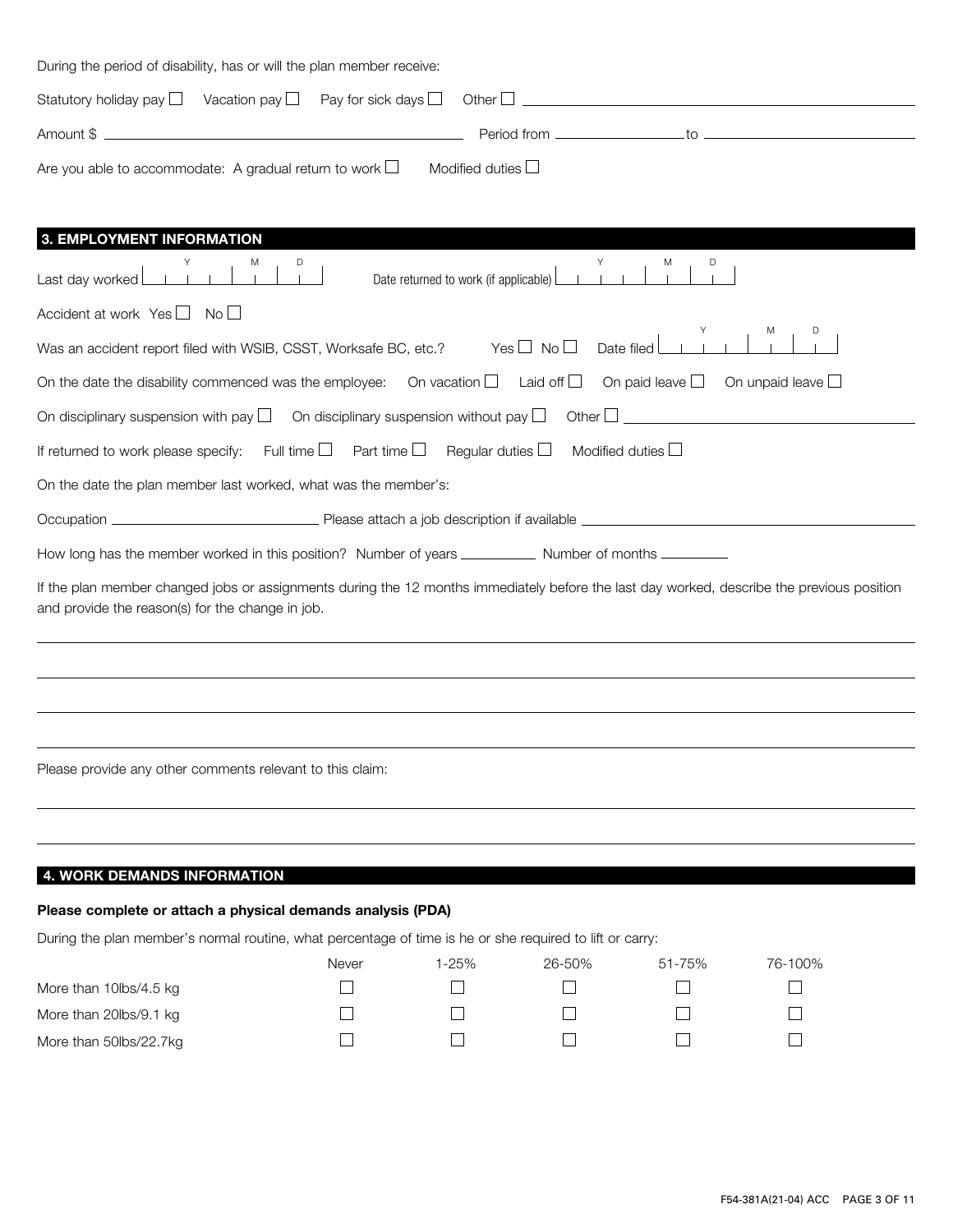| During the period of disability, has or will the plan member receive: |                                                                                                                                                                                                                                |  |
|-----------------------------------------------------------------------|--------------------------------------------------------------------------------------------------------------------------------------------------------------------------------------------------------------------------------|--|
|                                                                       |                                                                                                                                                                                                                                |  |
|                                                                       | Period from to the contract of the contract of the contract of the contract of the contract of the contract of the contract of the contract of the contract of the contract of the contract of the contract of the contract of |  |
| Are you able to accommodate: A gradual return to work $\Box$          | Modified duties $\Box$                                                                                                                                                                                                         |  |
|                                                                       |                                                                                                                                                                                                                                |  |
| 3. EMPLOYMENT INFORMATION                                             |                                                                                                                                                                                                                                |  |

| Date returned to work (if applicable)<br>Last day worked                                                                                                                                       |
|------------------------------------------------------------------------------------------------------------------------------------------------------------------------------------------------|
| Accident at work Yes $\Box$ No $\Box$                                                                                                                                                          |
| $Yes \Box No \Box$<br>Date filed<br>Was an accident report filed with WSIB, CSST, Worksafe BC, etc.?                                                                                           |
| On paid leave $\square$ On unpaid leave $\square$<br>On the date the disability commenced was the employee: On vacation $\Box$ Laid off $\Box$                                                 |
| On disciplinary suspension with pay $\square$<br>On disciplinary suspension without pay $\square$<br>Other $\Box$                                                                              |
| If returned to work please specify: Full time $\Box$<br>Part time $\Box$<br>Modified duties L<br>Regular duties $\Box$                                                                         |
| On the date the plan member last worked, what was the member's:                                                                                                                                |
|                                                                                                                                                                                                |
| How long has the member worked in this position? Number of years ______________ Number of months ___________                                                                                   |
| If the plan member changed jobs or assignments during the 12 months immediately before the last day worked, describe the previous position<br>and provide the reason(s) for the change in job. |
|                                                                                                                                                                                                |
|                                                                                                                                                                                                |
|                                                                                                                                                                                                |
| Please provide any other comments relevant to this claim:                                                                                                                                      |
|                                                                                                                                                                                                |

# 4. WORK DEMANDS INFORMATION

## Please complete or attach a physical demands analysis (PDA)

During the plan member's normal routine, what percentage of time is he or she required to lift or carry:

|                        | Never | l-25% | 26-50% | 51-75% | 76-100% |
|------------------------|-------|-------|--------|--------|---------|
| More than 10lbs/4.5 kg |       |       |        |        |         |
| More than 20lbs/9.1 kg |       |       |        |        |         |
| More than 50lbs/22.7kg |       |       |        |        |         |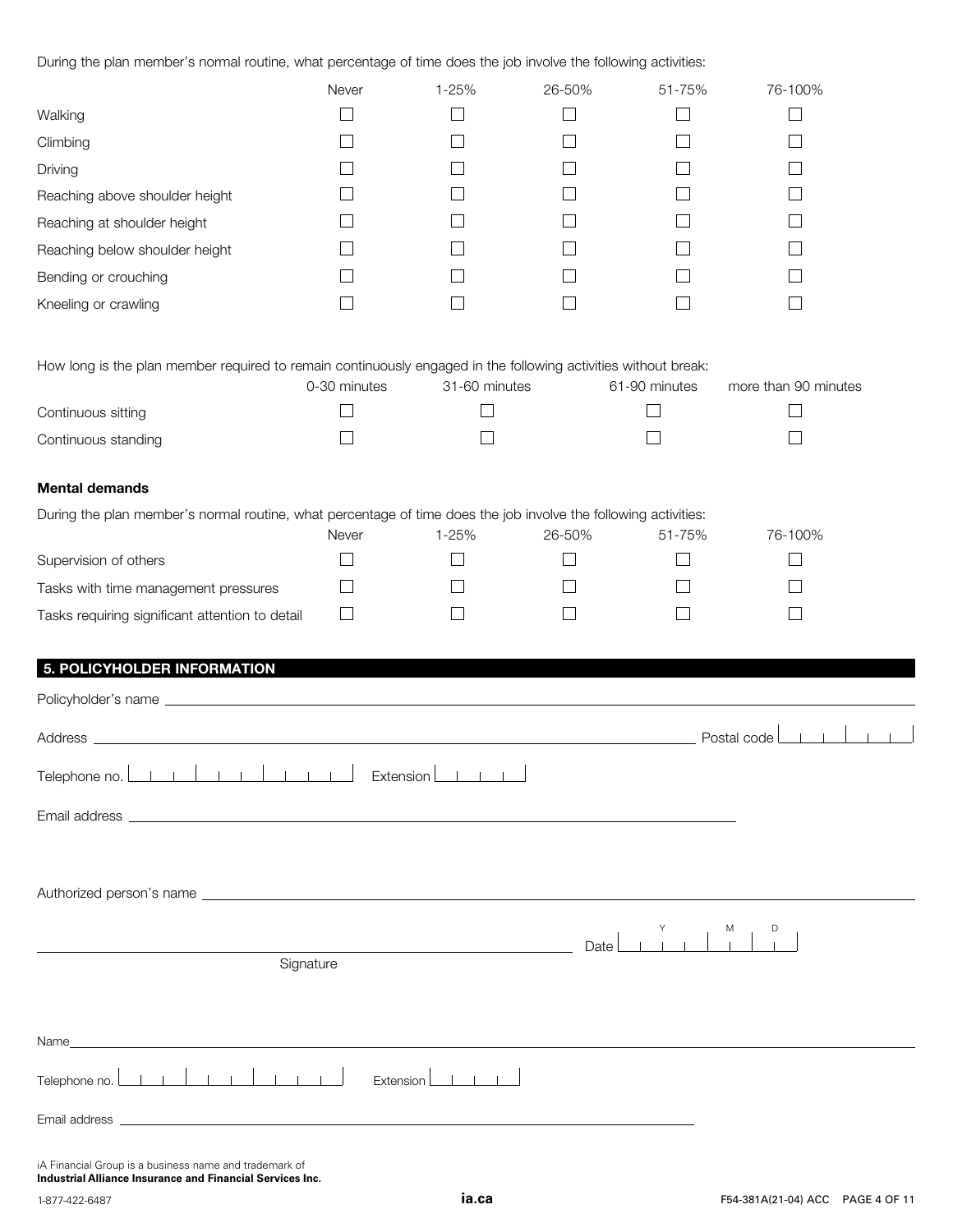During the plan member's normal routine, what percentage of time does the job involve the following activities:

|                                | Never | $1 - 25%$ | 26-50% | 51-75% | 76-100% |
|--------------------------------|-------|-----------|--------|--------|---------|
| Walking                        |       |           |        |        |         |
| Climbing                       |       |           |        |        |         |
| Driving                        |       |           |        |        |         |
| Reaching above shoulder height |       |           |        |        |         |
| Reaching at shoulder height    |       |           |        |        |         |
| Reaching below shoulder height |       |           |        |        |         |
| Bending or crouching           |       |           |        |        |         |
| Kneeling or crawling           |       |           |        |        |         |
|                                |       |           |        |        |         |

How long is the plan member required to remain continuously engaged in the following activities without break:

|                     | 0-30 minutes | 31-60 minutes | 61-90 minutes | more than 90 minutes |
|---------------------|--------------|---------------|---------------|----------------------|
| Continuous sitting  |              |               |               |                      |
| Continuous standing |              |               |               |                      |

## Mental demands

| During the plan member's normal routine, what percentage of time does the job involve the following activities: |       |       |        |        |         |  |  |
|-----------------------------------------------------------------------------------------------------------------|-------|-------|--------|--------|---------|--|--|
|                                                                                                                 | Never | 1-25% | 26-50% | 51-75% | 76-100% |  |  |
| Supervision of others                                                                                           |       |       |        |        |         |  |  |
| Tasks with time management pressures                                                                            |       |       |        |        |         |  |  |
| Tasks requiring significant attention to detail                                                                 |       |       |        |        |         |  |  |

# 5. POLICYHOLDER INFORMATION

|                                                                                                                                                                                   | Postal code $\begin{array}{ c c c c c c }\n\hline\n1&1&1\end{array}$ |
|-----------------------------------------------------------------------------------------------------------------------------------------------------------------------------------|----------------------------------------------------------------------|
| Telephone no. $\boxed{\phantom{a}1 \phantom{a}1 \phantom{a}1 \phantom{a}1 \phantom{a}1 \phantom{a}1 \phantom{a}1 \phantom{a}1 \phantom{a}1 \phantom{a}1}$<br>$Extension$ $\qquad$ |                                                                      |
|                                                                                                                                                                                   |                                                                      |
|                                                                                                                                                                                   |                                                                      |
|                                                                                                                                                                                   |                                                                      |
|                                                                                                                                                                                   | M<br>$\sim 10^{-11}$<br>Date                                         |
| Signature                                                                                                                                                                         |                                                                      |
|                                                                                                                                                                                   |                                                                      |
|                                                                                                                                                                                   |                                                                      |
| $Extension$ $\boxed{\begin{array}{c} \bot \end{array}}$                                                                                                                           |                                                                      |
|                                                                                                                                                                                   |                                                                      |
| iA Financial Group is a business name and trademark of                                                                                                                            |                                                                      |

**Industrial Alliance Insurance and Financial Services Inc.**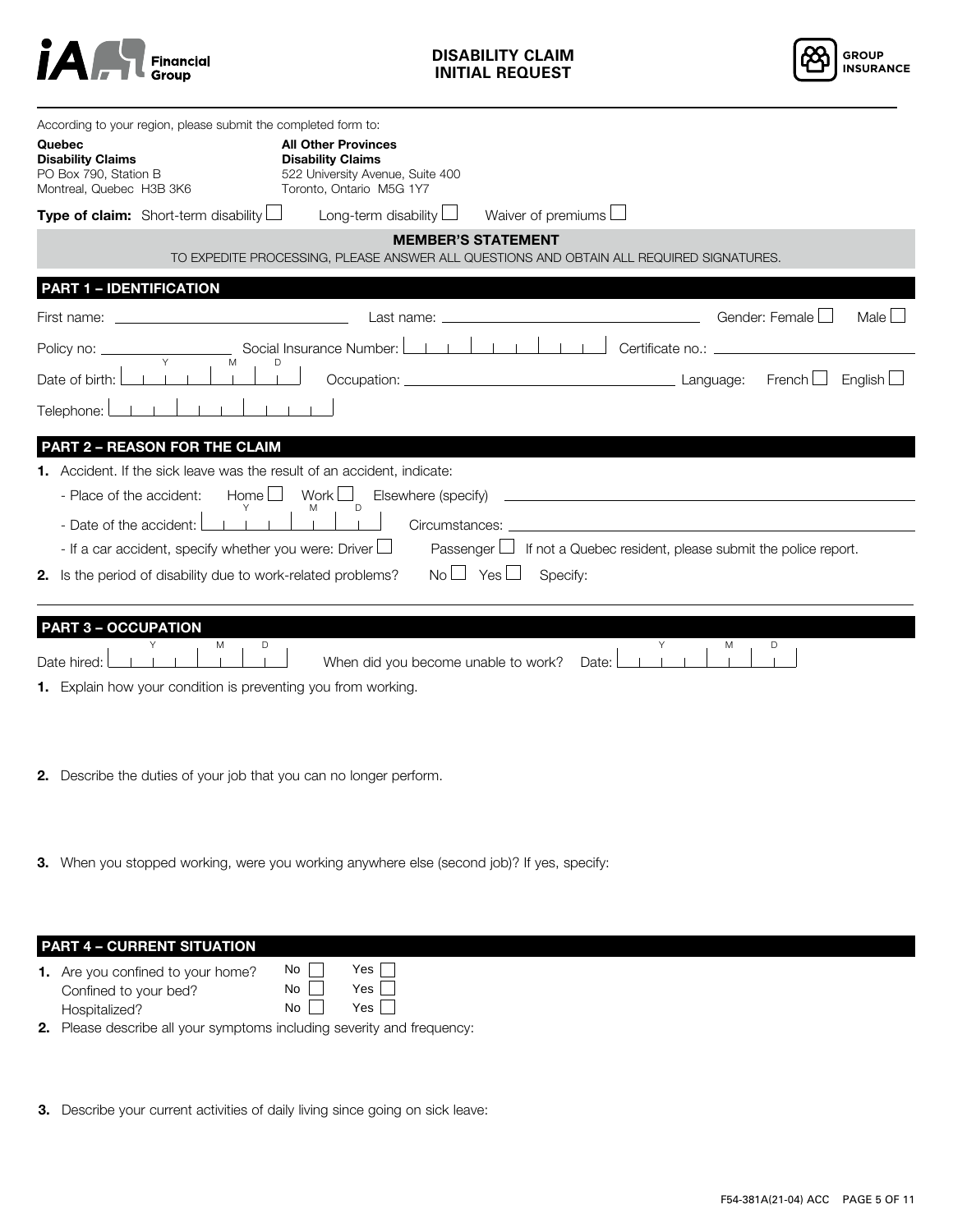

**DISABILITY CLAIM INITIAL REQUEST**



| Quebec<br><b>Disability Claims</b><br>PO Box 790, Station B<br>Montreal, Quebec H3B 3K6 | According to your region, please submit the completed form to:<br>Type of claim: Short-term disability | <b>All Other Provinces</b><br><b>Disability Claims</b><br>522 University Avenue, Suite 400<br>Toronto, Ontario M5G 1Y7<br>Long-term disability | Waiver of premiums                 |                                                            |                |                |
|-----------------------------------------------------------------------------------------|--------------------------------------------------------------------------------------------------------|------------------------------------------------------------------------------------------------------------------------------------------------|------------------------------------|------------------------------------------------------------|----------------|----------------|
|                                                                                         |                                                                                                        | TO EXPEDITE PROCESSING, PLEASE ANSWER ALL QUESTIONS AND OBTAIN ALL REQUIRED SIGNATURES.                                                        | <b>MEMBER'S STATEMENT</b>          |                                                            |                |                |
| <b>PART 1 - IDENTIFICATION</b>                                                          |                                                                                                        |                                                                                                                                                |                                    |                                                            |                |                |
| First name:                                                                             |                                                                                                        | Last name:                                                                                                                                     |                                    |                                                            | Gender: Female | Male $\Box$    |
| Policy no: .                                                                            |                                                                                                        | Social Insurance Number:                                                                                                                       |                                    | Certificate no.:                                           |                |                |
| Date of birth:                                                                          | M                                                                                                      | Occupation: _                                                                                                                                  | Language:                          |                                                            | French $\Box$  | English $\Box$ |
| Telephone:                                                                              |                                                                                                        |                                                                                                                                                |                                    |                                                            |                |                |
|                                                                                         | <b>PART 2 - REASON FOR THE CLAIM</b>                                                                   |                                                                                                                                                |                                    |                                                            |                |                |
|                                                                                         | 1. Accident. If the sick leave was the result of an accident, indicate:                                |                                                                                                                                                |                                    |                                                            |                |                |
| - Place of the accident:                                                                | Home $\Box$                                                                                            | Work $\Box$<br>Elsewhere (specify)<br>D                                                                                                        |                                    |                                                            |                |                |
| - Date of the accident:                                                                 |                                                                                                        | Circumstances:                                                                                                                                 |                                    |                                                            |                |                |
|                                                                                         | - If a car accident, specify whether you were: Driver $\Box$                                           | Passenger $\Box$                                                                                                                               |                                    | If not a Quebec resident, please submit the police report. |                |                |
|                                                                                         | 2. Is the period of disability due to work-related problems?                                           |                                                                                                                                                | $No \sqcup Yes \sqcup$<br>Specify: |                                                            |                |                |
| <b>PART 3 - OCCUPATION</b>                                                              |                                                                                                        |                                                                                                                                                |                                    |                                                            |                |                |
| Date hired:                                                                             | M<br>D                                                                                                 | When did you become unable to work?                                                                                                            | Date:                              | Y<br>M                                                     | D              |                |
|                                                                                         | 1. Explain how your condition is preventing you from working.                                          |                                                                                                                                                |                                    |                                                            |                |                |
|                                                                                         | 2. Describe the duties of your job that you can no longer perform.                                     |                                                                                                                                                |                                    |                                                            |                |                |

**3.** When you stopped working, were you working anywhere else (second job)? If yes, specify:

| <b>PART 4 - CURRENT SITUATION</b> |  |
|-----------------------------------|--|
|                                   |  |
|                                   |  |

- **1.** Are you confined to your home? Confined to your bed? Hospitalized? No Yes  $No$ No Yes <u>No</u><br>No Yes No
- 2. Please describe all your symptoms including severity and frequency:
- **3.** Describe your current activities of daily living since going on sick leave: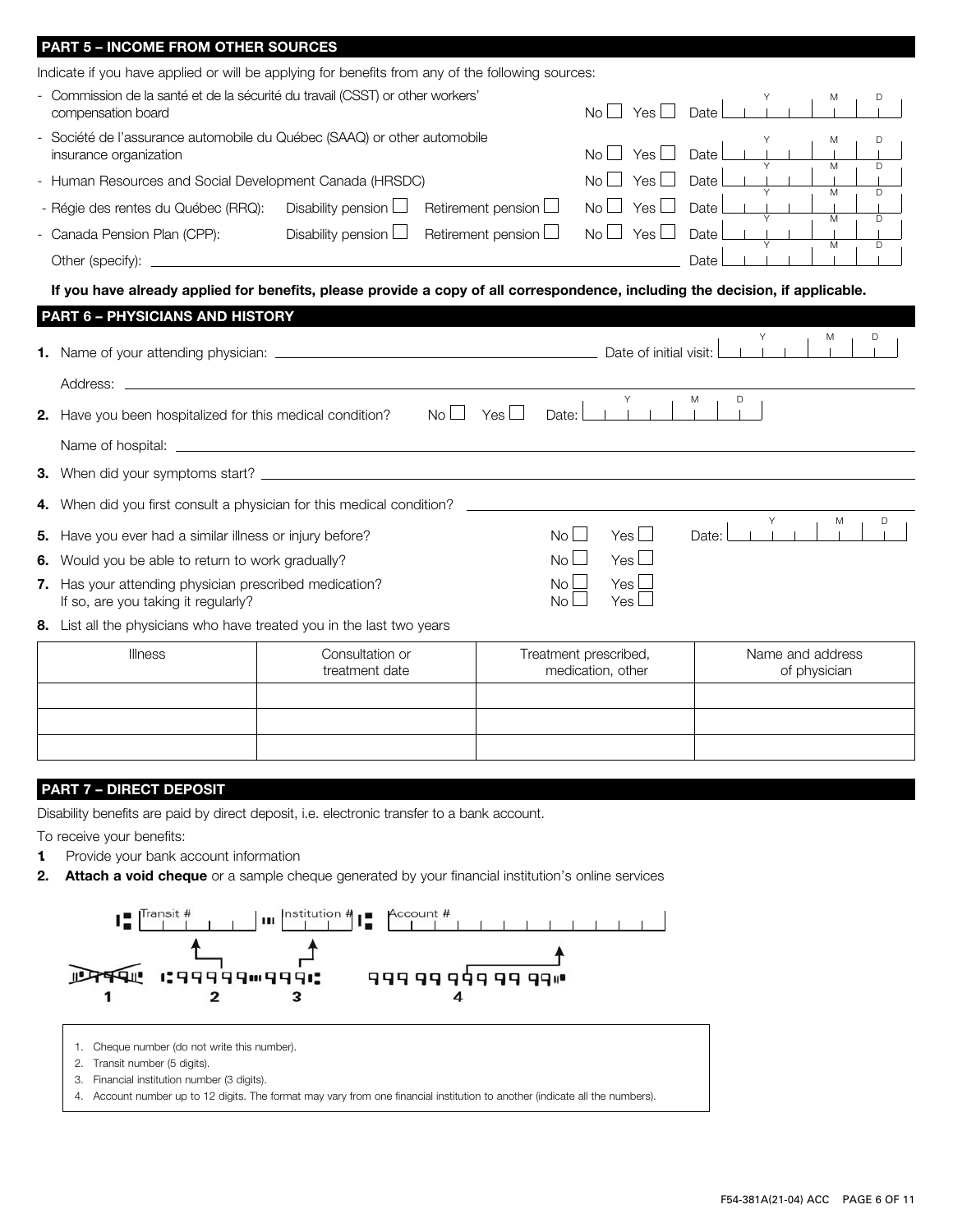| Indicate if you have applied or will be applying for benefits from any of the following sources:<br>Commission de la santé et de la sécurité du travail (CSST) or other workers'<br>D<br>Yes<br>No<br>compensation board<br>Date<br>Société de l'assurance automobile du Québec (SAAQ) or other automobile<br>D<br>Yes l<br><b>No</b><br>Date<br>insurance organization<br>$\overline{D}$<br>$\overline{M}$<br>- Human Resources and Social Development Canada (HRSDC)<br>Yes<br>Date<br>No.<br>Y<br>M<br>D<br>Disability pension $\Box$<br>Retirement pension $\Box$<br>Yes L<br>Date<br>- Régie des rentes du Québec (RRQ):<br>No <sub>1</sub><br>M<br>D<br>Disability pension $\Box$<br>Retirement pension $\Box$<br>Yes<br>No<br>Date<br>- Canada Pension Plan (CPP):<br>M<br>D<br>Date<br>If you have already applied for benefits, please provide a copy of all correspondence, including the decision, if applicable.<br><b>PART 6 - PHYSICIANS AND HISTORY</b><br>M<br>Date of initial visit:<br>Address:<br>Υ<br>M<br>D<br>Yes $\Box$<br>Have you been hospitalized for this medical condition?<br>Noll<br>Date:<br>2.<br>4. When did you first consult a physician for this medical condition?<br>Υ<br>M<br>D<br>Yes $\Box$<br>No II<br>Date:<br>Have you ever had a similar illness or injury before?<br>5.<br>Yes $\Box$<br>$N_O$    <br>Would you be able to return to work gradually?<br>6.<br>7. Has your attending physician prescribed medication?<br>Yes<br>No.<br>If so, are you taking it regularly?<br>Yes<br><b>No</b> | <b>PART 5 - INCOME FROM OTHER SOURCES</b> |  |  |  |
|----------------------------------------------------------------------------------------------------------------------------------------------------------------------------------------------------------------------------------------------------------------------------------------------------------------------------------------------------------------------------------------------------------------------------------------------------------------------------------------------------------------------------------------------------------------------------------------------------------------------------------------------------------------------------------------------------------------------------------------------------------------------------------------------------------------------------------------------------------------------------------------------------------------------------------------------------------------------------------------------------------------------------------------------------------------------------------------------------------------------------------------------------------------------------------------------------------------------------------------------------------------------------------------------------------------------------------------------------------------------------------------------------------------------------------------------------------------------------------------------------------------------------------------------|-------------------------------------------|--|--|--|
|                                                                                                                                                                                                                                                                                                                                                                                                                                                                                                                                                                                                                                                                                                                                                                                                                                                                                                                                                                                                                                                                                                                                                                                                                                                                                                                                                                                                                                                                                                                                              |                                           |  |  |  |
|                                                                                                                                                                                                                                                                                                                                                                                                                                                                                                                                                                                                                                                                                                                                                                                                                                                                                                                                                                                                                                                                                                                                                                                                                                                                                                                                                                                                                                                                                                                                              |                                           |  |  |  |
|                                                                                                                                                                                                                                                                                                                                                                                                                                                                                                                                                                                                                                                                                                                                                                                                                                                                                                                                                                                                                                                                                                                                                                                                                                                                                                                                                                                                                                                                                                                                              |                                           |  |  |  |
|                                                                                                                                                                                                                                                                                                                                                                                                                                                                                                                                                                                                                                                                                                                                                                                                                                                                                                                                                                                                                                                                                                                                                                                                                                                                                                                                                                                                                                                                                                                                              |                                           |  |  |  |
|                                                                                                                                                                                                                                                                                                                                                                                                                                                                                                                                                                                                                                                                                                                                                                                                                                                                                                                                                                                                                                                                                                                                                                                                                                                                                                                                                                                                                                                                                                                                              |                                           |  |  |  |
|                                                                                                                                                                                                                                                                                                                                                                                                                                                                                                                                                                                                                                                                                                                                                                                                                                                                                                                                                                                                                                                                                                                                                                                                                                                                                                                                                                                                                                                                                                                                              |                                           |  |  |  |
|                                                                                                                                                                                                                                                                                                                                                                                                                                                                                                                                                                                                                                                                                                                                                                                                                                                                                                                                                                                                                                                                                                                                                                                                                                                                                                                                                                                                                                                                                                                                              |                                           |  |  |  |
|                                                                                                                                                                                                                                                                                                                                                                                                                                                                                                                                                                                                                                                                                                                                                                                                                                                                                                                                                                                                                                                                                                                                                                                                                                                                                                                                                                                                                                                                                                                                              |                                           |  |  |  |
|                                                                                                                                                                                                                                                                                                                                                                                                                                                                                                                                                                                                                                                                                                                                                                                                                                                                                                                                                                                                                                                                                                                                                                                                                                                                                                                                                                                                                                                                                                                                              |                                           |  |  |  |
|                                                                                                                                                                                                                                                                                                                                                                                                                                                                                                                                                                                                                                                                                                                                                                                                                                                                                                                                                                                                                                                                                                                                                                                                                                                                                                                                                                                                                                                                                                                                              |                                           |  |  |  |
|                                                                                                                                                                                                                                                                                                                                                                                                                                                                                                                                                                                                                                                                                                                                                                                                                                                                                                                                                                                                                                                                                                                                                                                                                                                                                                                                                                                                                                                                                                                                              |                                           |  |  |  |
|                                                                                                                                                                                                                                                                                                                                                                                                                                                                                                                                                                                                                                                                                                                                                                                                                                                                                                                                                                                                                                                                                                                                                                                                                                                                                                                                                                                                                                                                                                                                              |                                           |  |  |  |
|                                                                                                                                                                                                                                                                                                                                                                                                                                                                                                                                                                                                                                                                                                                                                                                                                                                                                                                                                                                                                                                                                                                                                                                                                                                                                                                                                                                                                                                                                                                                              |                                           |  |  |  |
|                                                                                                                                                                                                                                                                                                                                                                                                                                                                                                                                                                                                                                                                                                                                                                                                                                                                                                                                                                                                                                                                                                                                                                                                                                                                                                                                                                                                                                                                                                                                              |                                           |  |  |  |
|                                                                                                                                                                                                                                                                                                                                                                                                                                                                                                                                                                                                                                                                                                                                                                                                                                                                                                                                                                                                                                                                                                                                                                                                                                                                                                                                                                                                                                                                                                                                              |                                           |  |  |  |
|                                                                                                                                                                                                                                                                                                                                                                                                                                                                                                                                                                                                                                                                                                                                                                                                                                                                                                                                                                                                                                                                                                                                                                                                                                                                                                                                                                                                                                                                                                                                              |                                           |  |  |  |
|                                                                                                                                                                                                                                                                                                                                                                                                                                                                                                                                                                                                                                                                                                                                                                                                                                                                                                                                                                                                                                                                                                                                                                                                                                                                                                                                                                                                                                                                                                                                              |                                           |  |  |  |
|                                                                                                                                                                                                                                                                                                                                                                                                                                                                                                                                                                                                                                                                                                                                                                                                                                                                                                                                                                                                                                                                                                                                                                                                                                                                                                                                                                                                                                                                                                                                              |                                           |  |  |  |
| 8. List all the physicians who have treated you in the last two years                                                                                                                                                                                                                                                                                                                                                                                                                                                                                                                                                                                                                                                                                                                                                                                                                                                                                                                                                                                                                                                                                                                                                                                                                                                                                                                                                                                                                                                                        |                                           |  |  |  |
| Consultation or<br>Treatment prescribed,<br>Name and address<br><b>Illness</b>                                                                                                                                                                                                                                                                                                                                                                                                                                                                                                                                                                                                                                                                                                                                                                                                                                                                                                                                                                                                                                                                                                                                                                                                                                                                                                                                                                                                                                                               |                                           |  |  |  |
| treatment date<br>medication, other<br>of physician                                                                                                                                                                                                                                                                                                                                                                                                                                                                                                                                                                                                                                                                                                                                                                                                                                                                                                                                                                                                                                                                                                                                                                                                                                                                                                                                                                                                                                                                                          |                                           |  |  |  |
|                                                                                                                                                                                                                                                                                                                                                                                                                                                                                                                                                                                                                                                                                                                                                                                                                                                                                                                                                                                                                                                                                                                                                                                                                                                                                                                                                                                                                                                                                                                                              |                                           |  |  |  |
|                                                                                                                                                                                                                                                                                                                                                                                                                                                                                                                                                                                                                                                                                                                                                                                                                                                                                                                                                                                                                                                                                                                                                                                                                                                                                                                                                                                                                                                                                                                                              |                                           |  |  |  |
|                                                                                                                                                                                                                                                                                                                                                                                                                                                                                                                                                                                                                                                                                                                                                                                                                                                                                                                                                                                                                                                                                                                                                                                                                                                                                                                                                                                                                                                                                                                                              |                                           |  |  |  |

## PART 7 – DIRECT DEPOSIT

Disability benefits are paid by direct deposit, i.e. electronic transfer to a bank account.

To receive your benefits:

- **1** Provide your bank account information
- 2. Attach a void cheque or a sample cheque generated by your financial institution's online services



- 1. Cheque number (do not write this number).
- 2. Transit number (5 digits).
- 3. Financial institution number (3 digits).

4. Account number up to 12 digits. The format may vary from one financial institution to another (indicate all the numbers).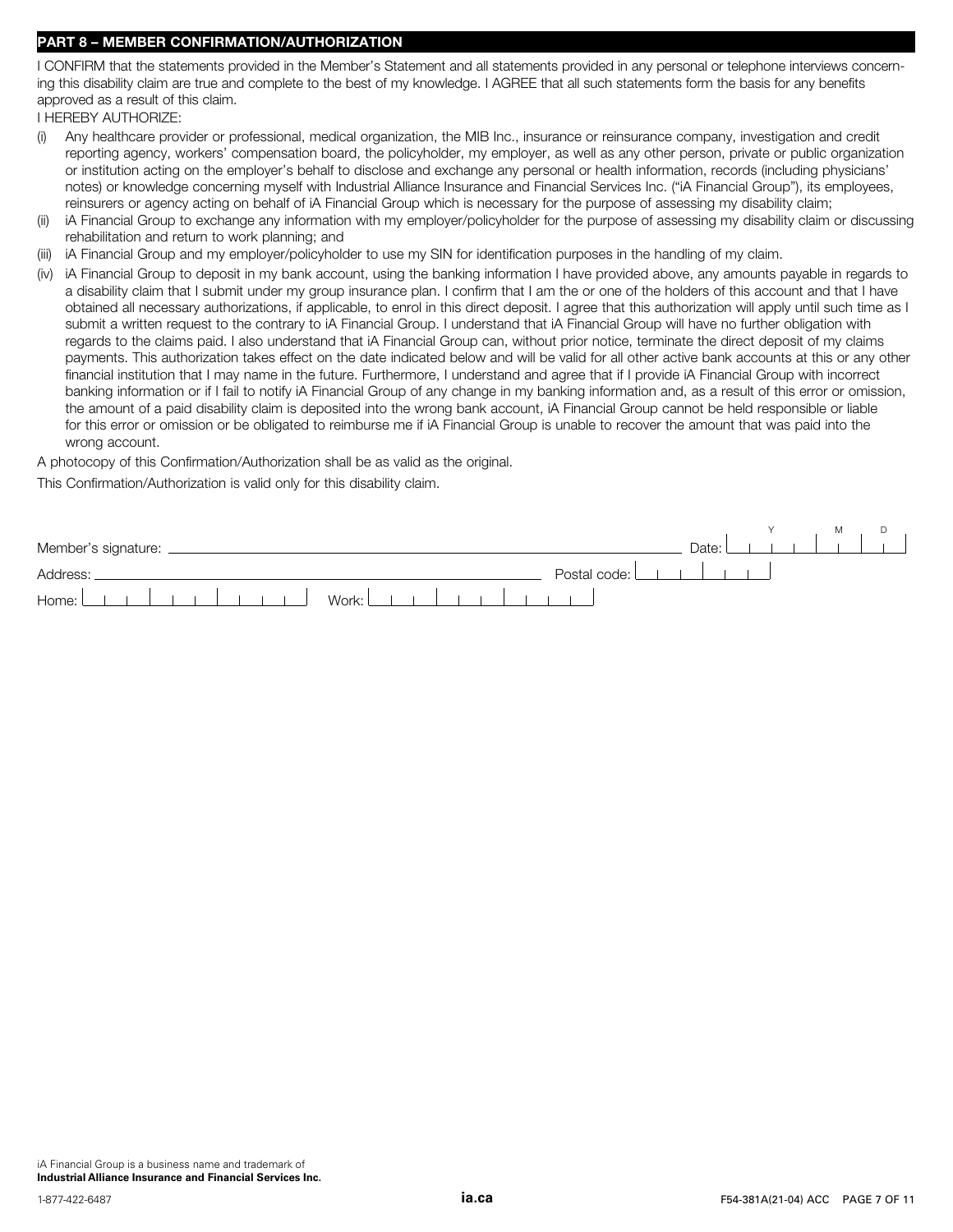# PART 8 – MEMBER CONFIRMATION/AUTHORIZATION

I CONFIRM that the statements provided in the Member's Statement and all statements provided in any personal or telephone interviews concerning this disability claim are true and complete to the best of my knowledge. I AGREE that all such statements form the basis for any benefits approved as a result of this claim.

I HEREBY AUTHORIZE:

- (i) Any healthcare provider or professional, medical organization, the MIB Inc., insurance or reinsurance company, investigation and credit reporting agency, workers' compensation board, the policyholder, my employer, as well as any other person, private or public organization or institution acting on the employer's behalf to disclose and exchange any personal or health information, records (including physicians' notes) or knowledge concerning myself with Industrial Alliance Insurance and Financial Services Inc. ("iA Financial Group"), its employees, reinsurers or agency acting on behalf of iA Financial Group which is necessary for the purpose of assessing my disability claim;
- (ii) iA Financial Group to exchange any information with my employer/policyholder for the purpose of assessing my disability claim or discussing rehabilitation and return to work planning; and
- (iii) iA Financial Group and my employer/policyholder to use my SIN for identification purposes in the handling of my claim.
- (iv) iA Financial Group to deposit in my bank account, using the banking information I have provided above, any amounts payable in regards to a disability claim that I submit under my group insurance plan. I confirm that I am the or one of the holders of this account and that I have obtained all necessary authorizations, if applicable, to enrol in this direct deposit. I agree that this authorization will apply until such time as I submit a written request to the contrary to iA Financial Group. I understand that iA Financial Group will have no further obligation with regards to the claims paid. I also understand that iA Financial Group can, without prior notice, terminate the direct deposit of my claims payments. This authorization takes effect on the date indicated below and will be valid for all other active bank accounts at this or any other financial institution that I may name in the future. Furthermore, I understand and agree that if I provide iA Financial Group with incorrect banking information or if I fail to notify iA Financial Group of any change in my banking information and, as a result of this error or omission, the amount of a paid disability claim is deposited into the wrong bank account, iA Financial Group cannot be held responsible or liable for this error or omission or be obligated to reimburse me if iA Financial Group is unable to recover the amount that was paid into the wrong account.

A photocopy of this Confirmation/Authorization shall be as valid as the original.

This Confirmation/Authorization is valid only for this disability claim.

| Member's signature: | Date: |  |  |
|---------------------|-------|--|--|
| Address:            |       |  |  |
|                     |       |  |  |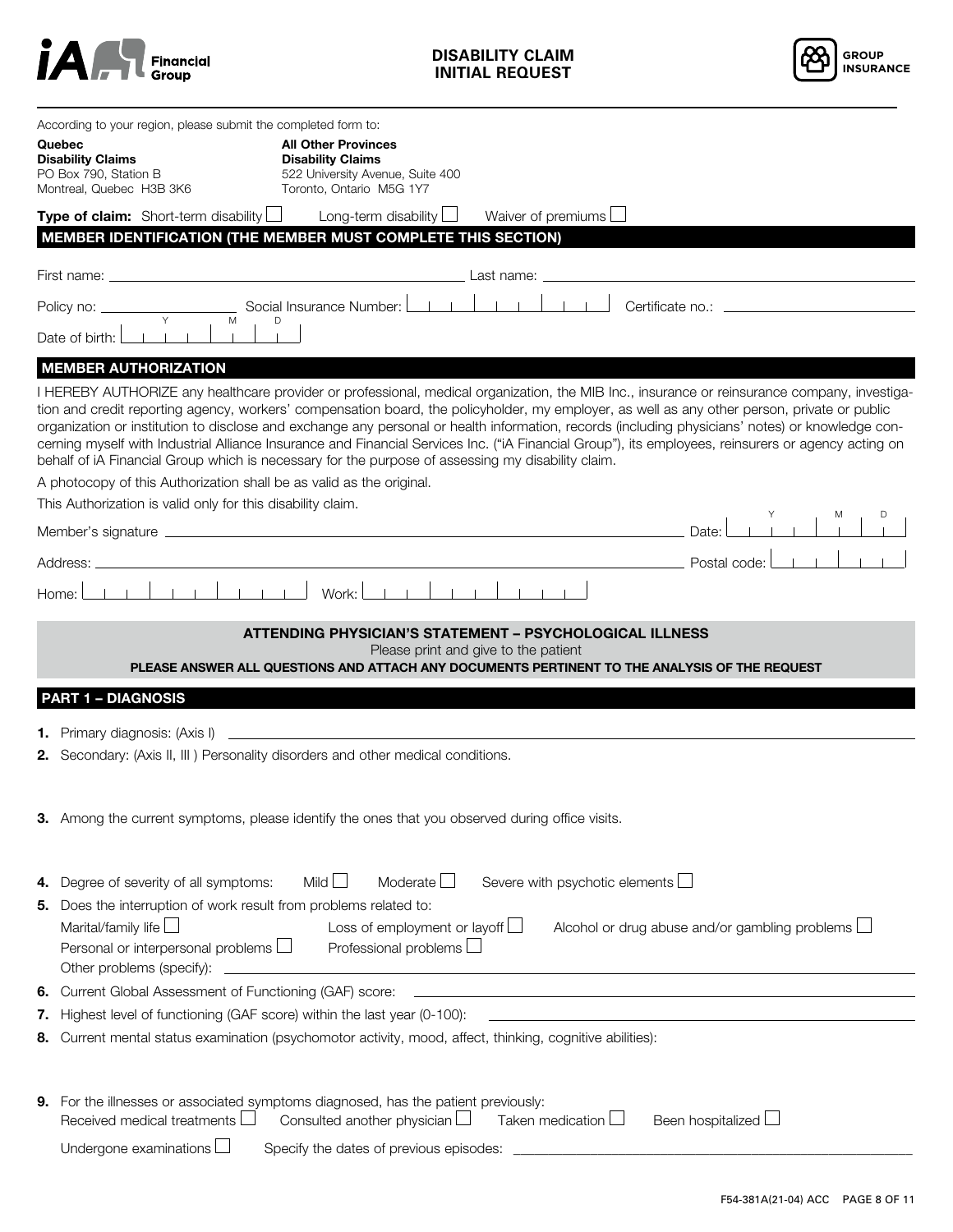



|                                                                                                                                                                                                                                                                                                                                                                                                                                      | According to your region, please submit the completed form to:<br>Quebec<br><b>Disability Claims</b><br>PO Box 790, Station B<br>Montreal, Quebec H3B 3K6                                                                                                                                                                 | <b>All Other Provinces</b><br><b>Disability Claims</b><br>522 University Avenue, Suite 400<br>Toronto, Ontario M5G 1Y7 |                                                                                                                                                                                                         |                                                                                                                                                                                                                                                                                                                                                                                                                                                         |
|--------------------------------------------------------------------------------------------------------------------------------------------------------------------------------------------------------------------------------------------------------------------------------------------------------------------------------------------------------------------------------------------------------------------------------------|---------------------------------------------------------------------------------------------------------------------------------------------------------------------------------------------------------------------------------------------------------------------------------------------------------------------------|------------------------------------------------------------------------------------------------------------------------|---------------------------------------------------------------------------------------------------------------------------------------------------------------------------------------------------------|---------------------------------------------------------------------------------------------------------------------------------------------------------------------------------------------------------------------------------------------------------------------------------------------------------------------------------------------------------------------------------------------------------------------------------------------------------|
|                                                                                                                                                                                                                                                                                                                                                                                                                                      | <b>Type of claim:</b> Short-term disability $\Box$<br>MEMBER IDENTIFICATION (THE MEMBER MUST COMPLETE THIS SECTION)                                                                                                                                                                                                       | Long-term disability $\Box$                                                                                            | Waiver of premiums $\Box$                                                                                                                                                                               |                                                                                                                                                                                                                                                                                                                                                                                                                                                         |
|                                                                                                                                                                                                                                                                                                                                                                                                                                      |                                                                                                                                                                                                                                                                                                                           |                                                                                                                        | Last name:                                                                                                                                                                                              |                                                                                                                                                                                                                                                                                                                                                                                                                                                         |
|                                                                                                                                                                                                                                                                                                                                                                                                                                      | Policy no: ___<br>Y<br>M                                                                                                                                                                                                                                                                                                  | Social Insurance Number: <u>Late Hand</u><br>D                                                                         | $-1 - 1 - 1$<br>Certificate no.: _                                                                                                                                                                      |                                                                                                                                                                                                                                                                                                                                                                                                                                                         |
|                                                                                                                                                                                                                                                                                                                                                                                                                                      | Date of birth:                                                                                                                                                                                                                                                                                                            |                                                                                                                        |                                                                                                                                                                                                         |                                                                                                                                                                                                                                                                                                                                                                                                                                                         |
|                                                                                                                                                                                                                                                                                                                                                                                                                                      | <b>MEMBER AUTHORIZATION</b>                                                                                                                                                                                                                                                                                               |                                                                                                                        |                                                                                                                                                                                                         |                                                                                                                                                                                                                                                                                                                                                                                                                                                         |
|                                                                                                                                                                                                                                                                                                                                                                                                                                      | tion and credit reporting agency, workers' compensation board, the policyholder, my employer, as well as any other person, private or public<br>behalf of iA Financial Group which is necessary for the purpose of assessing my disability claim.<br>A photocopy of this Authorization shall be as valid as the original. |                                                                                                                        |                                                                                                                                                                                                         | I HEREBY AUTHORIZE any healthcare provider or professional, medical organization, the MIB Inc., insurance or reinsurance company, investiga-<br>organization or institution to disclose and exchange any personal or health information, records (including physicians' notes) or knowledge con-<br>cerning myself with Industrial Alliance Insurance and Financial Services Inc. ("iA Financial Group"), its employees, reinsurers or agency acting on |
|                                                                                                                                                                                                                                                                                                                                                                                                                                      | This Authorization is valid only for this disability claim.                                                                                                                                                                                                                                                               |                                                                                                                        |                                                                                                                                                                                                         |                                                                                                                                                                                                                                                                                                                                                                                                                                                         |
|                                                                                                                                                                                                                                                                                                                                                                                                                                      | Member's signature experience and the state of the state of the state of the state of the state of the state of the state of the state of the state of the state of the state of the state of the state of the state of the st                                                                                            |                                                                                                                        |                                                                                                                                                                                                         | Date:                                                                                                                                                                                                                                                                                                                                                                                                                                                   |
|                                                                                                                                                                                                                                                                                                                                                                                                                                      | Address:                                                                                                                                                                                                                                                                                                                  |                                                                                                                        |                                                                                                                                                                                                         | Postal code:                                                                                                                                                                                                                                                                                                                                                                                                                                            |
|                                                                                                                                                                                                                                                                                                                                                                                                                                      | Home:                                                                                                                                                                                                                                                                                                                     |                                                                                                                        |                                                                                                                                                                                                         |                                                                                                                                                                                                                                                                                                                                                                                                                                                         |
|                                                                                                                                                                                                                                                                                                                                                                                                                                      |                                                                                                                                                                                                                                                                                                                           |                                                                                                                        | <b>ATTENDING PHYSICIAN'S STATEMENT - PSYCHOLOGICAL ILLNESS</b><br>Please print and give to the patient<br>PLEASE ANSWER ALL QUESTIONS AND ATTACH ANY DOCUMENTS PERTINENT TO THE ANALYSIS OF THE REQUEST |                                                                                                                                                                                                                                                                                                                                                                                                                                                         |
|                                                                                                                                                                                                                                                                                                                                                                                                                                      | <b>PART 1 - DIAGNOSIS</b>                                                                                                                                                                                                                                                                                                 |                                                                                                                        |                                                                                                                                                                                                         |                                                                                                                                                                                                                                                                                                                                                                                                                                                         |
|                                                                                                                                                                                                                                                                                                                                                                                                                                      | 2. Secondary: (Axis II, III ) Personality disorders and other medical conditions.                                                                                                                                                                                                                                         |                                                                                                                        |                                                                                                                                                                                                         |                                                                                                                                                                                                                                                                                                                                                                                                                                                         |
|                                                                                                                                                                                                                                                                                                                                                                                                                                      | 3. Among the current symptoms, please identify the ones that you observed during office visits.                                                                                                                                                                                                                           |                                                                                                                        |                                                                                                                                                                                                         |                                                                                                                                                                                                                                                                                                                                                                                                                                                         |
| Moderate $\Box$<br>Severe with psychotic elements $\Box$<br>Mild $\Box$<br>Degree of severity of all symptoms:<br>4.<br>Does the interruption of work result from problems related to:<br>5.<br>Marital/family life $\Box$<br>Loss of employment or layoff $\Box$<br>Alcohol or drug abuse and/or gambling problems $\Box$<br>Professional problems $\Box$<br>Personal or interpersonal problems $\Box$<br>Other problems (specify): |                                                                                                                                                                                                                                                                                                                           |                                                                                                                        |                                                                                                                                                                                                         |                                                                                                                                                                                                                                                                                                                                                                                                                                                         |
| 6.                                                                                                                                                                                                                                                                                                                                                                                                                                   |                                                                                                                                                                                                                                                                                                                           |                                                                                                                        |                                                                                                                                                                                                         |                                                                                                                                                                                                                                                                                                                                                                                                                                                         |
|                                                                                                                                                                                                                                                                                                                                                                                                                                      | 7. Highest level of functioning (GAF score) within the last year (0-100):                                                                                                                                                                                                                                                 |                                                                                                                        | <u> 1980 - Johann Barnett, fransk politiker (d. 1980)</u>                                                                                                                                               |                                                                                                                                                                                                                                                                                                                                                                                                                                                         |
| 8.                                                                                                                                                                                                                                                                                                                                                                                                                                   | Current mental status examination (psychomotor activity, mood, affect, thinking, cognitive abilities):                                                                                                                                                                                                                    |                                                                                                                        |                                                                                                                                                                                                         |                                                                                                                                                                                                                                                                                                                                                                                                                                                         |
| 9.                                                                                                                                                                                                                                                                                                                                                                                                                                   | For the illnesses or associated symptoms diagnosed, has the patient previously:<br>Received medical treatments $\Box$<br>Undergone examinations $\Box$                                                                                                                                                                    | Consulted another physician $\Box$                                                                                     | Taken medication $\Box$                                                                                                                                                                                 | Been hospitalized L                                                                                                                                                                                                                                                                                                                                                                                                                                     |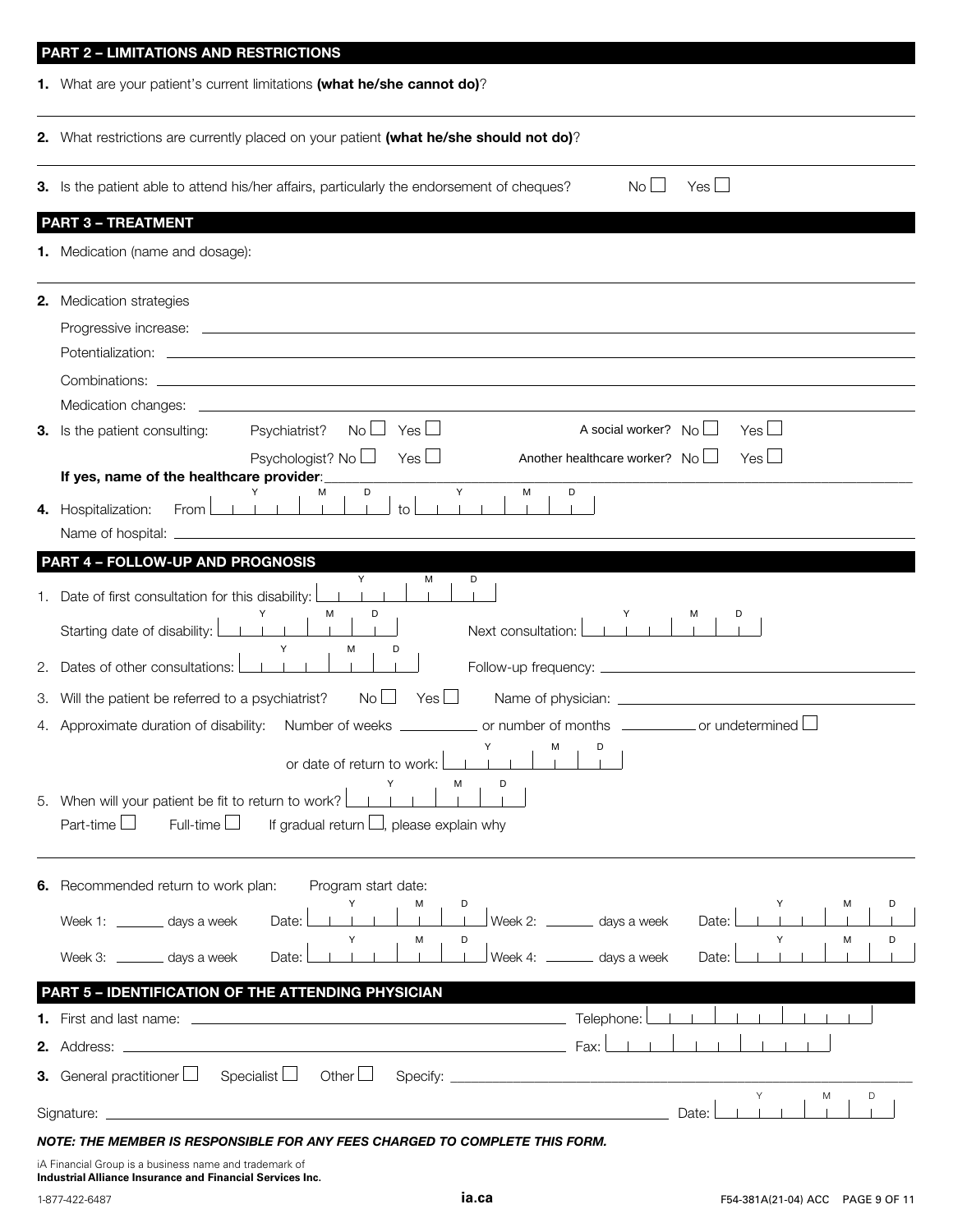|    | <b>PART 2 - LIMITATIONS AND RESTRICTIONS</b><br>1. What are your patient's current limitations (what he/she cannot do)?          |
|----|----------------------------------------------------------------------------------------------------------------------------------|
|    |                                                                                                                                  |
|    | 2. What restrictions are currently placed on your patient (what he/she should not do)?                                           |
|    | No <sub>1</sub><br>$Yes \Box$<br>3. Is the patient able to attend his/her affairs, particularly the endorsement of cheques?      |
|    | <b>PART 3 - TREATMENT</b>                                                                                                        |
|    | <b>1.</b> Medication (name and dosage):                                                                                          |
|    | 2. Medication strategies                                                                                                         |
|    |                                                                                                                                  |
|    |                                                                                                                                  |
|    |                                                                                                                                  |
|    |                                                                                                                                  |
|    | Yes $\Box$<br>$Yes \Box$<br>A social worker? $No$<br>3. Is the patient consulting:<br>Psychiatrist?<br>No <sub>1</sub>           |
|    | Psychologist? No $\Box$<br>Yes $\Box$<br>Yes $\Box$<br>Another healthcare worker? No<br>If yes, name of the healthcare provider: |
|    | Y<br>M<br>D<br>D<br>М<br>Y<br>$\perp$ to $\perp$<br>$\sim$ 1.000<br>$-1$ 1 $-1$<br>$-1 - 1 - 1$                                  |
|    | 4. Hospitalization:<br>From l                                                                                                    |
|    | PART 4 - FOLLOW-UP AND PROGNOSIS                                                                                                 |
|    | Y<br>М<br>D                                                                                                                      |
|    | 1. Date of first consultation for this disability:<br>D<br>м                                                                     |
|    | Starting date of disability: [<br>Next consultation:<br>М                                                                        |
| 2. | Dates of other consultations:                                                                                                    |
| З. | No <sub>1</sub><br>Yes $\Box$<br>Will the patient be referred to a psychiatrist?                                                 |
|    | 4. Approximate duration of disability: Number of weeks ____________ or number of months __________ or undetermined $\Box$        |
|    | М<br>D<br>or date of return to work:                                                                                             |
|    | м                                                                                                                                |
|    | 5. When will your patient be fit to return to work?                                                                              |
|    | Part-time $\Box$<br>Full-time $\Box$<br>If gradual return $\Box$ , please explain why                                            |
|    | 6. Recommended return to work plan:<br>Program start date:                                                                       |
|    | Week 2: ________ days a week<br>Week 1: ________ days a week<br>Date:<br>Date:                                                   |
|    | D<br>м<br>M                                                                                                                      |
|    | Week 4: ________ days a week<br>Week 3: _______ days a week<br>Date:<br>Date:                                                    |
|    | PART 5 - IDENTIFICATION OF THE ATTENDING PHYSICIAN                                                                               |
|    |                                                                                                                                  |
|    | Fax:                                                                                                                             |
|    | <b>3.</b> General practitioner $\Box$<br>Specialist $\Box$<br>Other $\Box$<br>Y<br>M<br>D                                        |
|    | Date:                                                                                                                            |

iA Financial Group is a business name and trademark of **Industrial Alliance Insurance and Financial Services Inc.**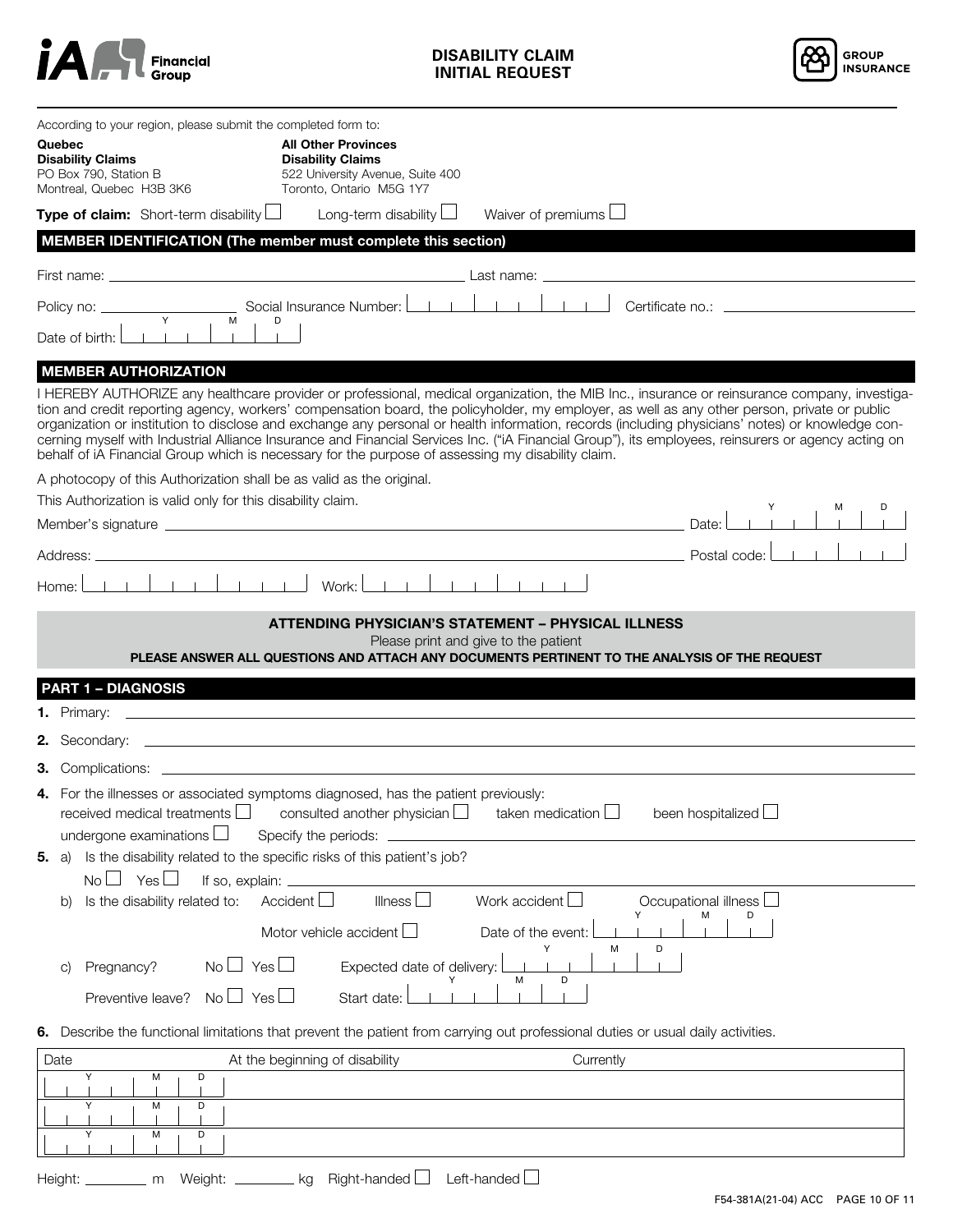



| According to your region, please submit the completed form to:<br>Quebec<br><b>Disability Claims</b><br>PO Box 790, Station B<br>Montreal, Quebec H3B 3K6                                                                                                                                                                                                                                                                                                                                                                                                                                                                                                                                                                                   | <b>All Other Provinces</b><br><b>Disability Claims</b><br>522 University Avenue, Suite 400<br>Toronto, Ontario M5G 1Y7 |                                                                                                                                                                                                    |                             |
|---------------------------------------------------------------------------------------------------------------------------------------------------------------------------------------------------------------------------------------------------------------------------------------------------------------------------------------------------------------------------------------------------------------------------------------------------------------------------------------------------------------------------------------------------------------------------------------------------------------------------------------------------------------------------------------------------------------------------------------------|------------------------------------------------------------------------------------------------------------------------|----------------------------------------------------------------------------------------------------------------------------------------------------------------------------------------------------|-----------------------------|
| <b>Type of claim:</b> Short-term disability $\Box$                                                                                                                                                                                                                                                                                                                                                                                                                                                                                                                                                                                                                                                                                          | Long-term disability $\Box$                                                                                            | Waiver of premiums $\Box$                                                                                                                                                                          |                             |
| MEMBER IDENTIFICATION (The member must complete this section)                                                                                                                                                                                                                                                                                                                                                                                                                                                                                                                                                                                                                                                                               |                                                                                                                        |                                                                                                                                                                                                    |                             |
|                                                                                                                                                                                                                                                                                                                                                                                                                                                                                                                                                                                                                                                                                                                                             |                                                                                                                        |                                                                                                                                                                                                    |                             |
|                                                                                                                                                                                                                                                                                                                                                                                                                                                                                                                                                                                                                                                                                                                                             |                                                                                                                        |                                                                                                                                                                                                    |                             |
| M<br>Date of birth:                                                                                                                                                                                                                                                                                                                                                                                                                                                                                                                                                                                                                                                                                                                         | D                                                                                                                      |                                                                                                                                                                                                    |                             |
| <b>MEMBER AUTHORIZATION</b><br>I HEREBY AUTHORIZE any healthcare provider or professional, medical organization, the MIB Inc., insurance or reinsurance company, investiga-<br>tion and credit reporting agency, workers' compensation board, the policyholder, my employer, as well as any other person, private or public<br>organization or institution to disclose and exchange any personal or health information, records (including physicians' notes) or knowledge con-<br>cerning myself with Industrial Alliance Insurance and Financial Services Inc. ("iA Financial Group"), its employees, reinsurers or agency acting on<br>behalf of iA Financial Group which is necessary for the purpose of assessing my disability claim. |                                                                                                                        |                                                                                                                                                                                                    |                             |
| A photocopy of this Authorization shall be as valid as the original.                                                                                                                                                                                                                                                                                                                                                                                                                                                                                                                                                                                                                                                                        |                                                                                                                        |                                                                                                                                                                                                    |                             |
| This Authorization is valid only for this disability claim.                                                                                                                                                                                                                                                                                                                                                                                                                                                                                                                                                                                                                                                                                 |                                                                                                                        |                                                                                                                                                                                                    |                             |
|                                                                                                                                                                                                                                                                                                                                                                                                                                                                                                                                                                                                                                                                                                                                             |                                                                                                                        |                                                                                                                                                                                                    | <b>Controller</b>           |
|                                                                                                                                                                                                                                                                                                                                                                                                                                                                                                                                                                                                                                                                                                                                             | $Work:  $ $ $ $ $                                                                                                      |                                                                                                                                                                                                    |                             |
| Home:                                                                                                                                                                                                                                                                                                                                                                                                                                                                                                                                                                                                                                                                                                                                       |                                                                                                                        |                                                                                                                                                                                                    |                             |
| <b>PART 1 - DIAGNOSIS</b>                                                                                                                                                                                                                                                                                                                                                                                                                                                                                                                                                                                                                                                                                                                   |                                                                                                                        | <b>ATTENDING PHYSICIAN'S STATEMENT - PHYSICAL ILLNESS</b><br>Please print and give to the patient<br>PLEASE ANSWER ALL QUESTIONS AND ATTACH ANY DOCUMENTS PERTINENT TO THE ANALYSIS OF THE REQUEST |                             |
|                                                                                                                                                                                                                                                                                                                                                                                                                                                                                                                                                                                                                                                                                                                                             |                                                                                                                        |                                                                                                                                                                                                    |                             |
| 2.                                                                                                                                                                                                                                                                                                                                                                                                                                                                                                                                                                                                                                                                                                                                          |                                                                                                                        |                                                                                                                                                                                                    |                             |
|                                                                                                                                                                                                                                                                                                                                                                                                                                                                                                                                                                                                                                                                                                                                             |                                                                                                                        |                                                                                                                                                                                                    |                             |
| 4. For the illnesses or associated symptoms diagnosed, has the patient previously:<br>received medical treatments $\Box$<br>undergone examinations $\Box$                                                                                                                                                                                                                                                                                                                                                                                                                                                                                                                                                                                   | consulted another physician $\Box$<br>Specify the periods:                                                             | taken medication $\Box$                                                                                                                                                                            | $\Box$<br>been hospitalized |
| Is the disability related to the specific risks of this patient's job?<br>5.<br>a)                                                                                                                                                                                                                                                                                                                                                                                                                                                                                                                                                                                                                                                          |                                                                                                                        |                                                                                                                                                                                                    |                             |
| Yes $\Box$<br>$No$ $\Box$<br>If so, explain: _<br>Is the disability related to:                                                                                                                                                                                                                                                                                                                                                                                                                                                                                                                                                                                                                                                             | Accident<br>Illness I                                                                                                  | Work accident $L$                                                                                                                                                                                  | Occupational illness $\Box$ |
| b)                                                                                                                                                                                                                                                                                                                                                                                                                                                                                                                                                                                                                                                                                                                                          |                                                                                                                        |                                                                                                                                                                                                    |                             |
|                                                                                                                                                                                                                                                                                                                                                                                                                                                                                                                                                                                                                                                                                                                                             | Motor vehicle accident $\Box$                                                                                          | Date of the event:<br>D<br>М                                                                                                                                                                       |                             |
| $No \cup Yes \cup$<br>Pregnancy?<br>$\circ$                                                                                                                                                                                                                                                                                                                                                                                                                                                                                                                                                                                                                                                                                                 | Expected date of delivery:                                                                                             | D<br>М                                                                                                                                                                                             |                             |
| $No \Box Yes \Box$<br>Preventive leave?                                                                                                                                                                                                                                                                                                                                                                                                                                                                                                                                                                                                                                                                                                     | Start date:                                                                                                            |                                                                                                                                                                                                    |                             |
| 6. Describe the functional limitations that prevent the patient from carrying out professional duties or usual daily activities.                                                                                                                                                                                                                                                                                                                                                                                                                                                                                                                                                                                                            |                                                                                                                        |                                                                                                                                                                                                    |                             |
| Date                                                                                                                                                                                                                                                                                                                                                                                                                                                                                                                                                                                                                                                                                                                                        | At the beginning of disability                                                                                         | Currently                                                                                                                                                                                          |                             |
| Υ<br>М<br>D                                                                                                                                                                                                                                                                                                                                                                                                                                                                                                                                                                                                                                                                                                                                 |                                                                                                                        |                                                                                                                                                                                                    |                             |
| М<br>D<br>Υ                                                                                                                                                                                                                                                                                                                                                                                                                                                                                                                                                                                                                                                                                                                                 |                                                                                                                        |                                                                                                                                                                                                    |                             |
| M<br>D                                                                                                                                                                                                                                                                                                                                                                                                                                                                                                                                                                                                                                                                                                                                      |                                                                                                                        |                                                                                                                                                                                                    |                             |
| Weight: _<br>Height:<br>m                                                                                                                                                                                                                                                                                                                                                                                                                                                                                                                                                                                                                                                                                                                   | Right-handed L<br>kg                                                                                                   | Left-handed L                                                                                                                                                                                      |                             |